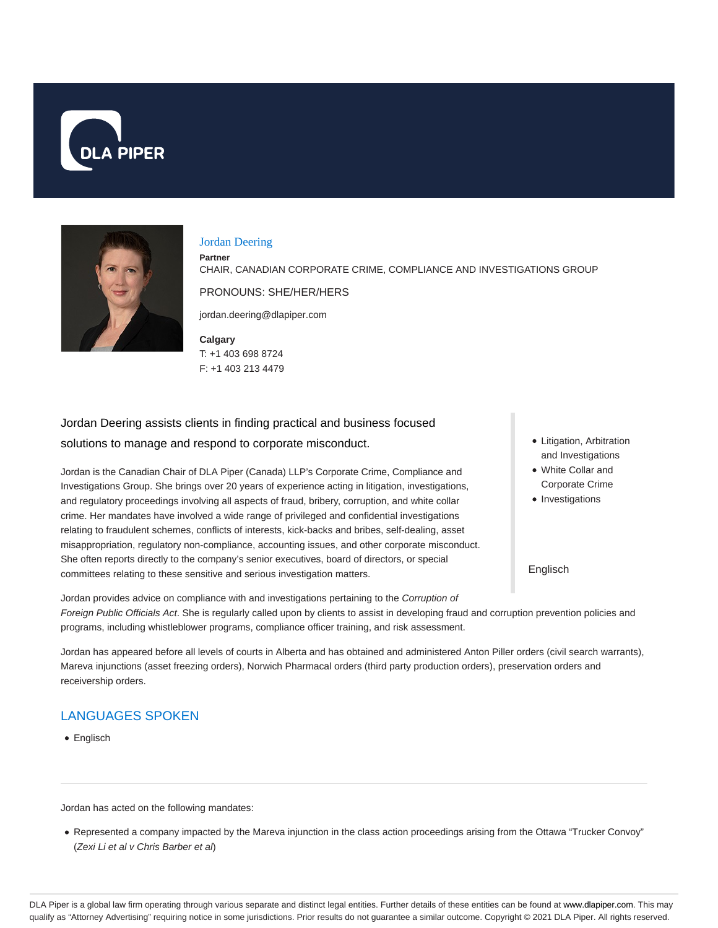



#### Jordan Deering

**Partner**

CHAIR, CANADIAN CORPORATE CRIME, COMPLIANCE AND INVESTIGATIONS GROUP

PRONOUNS: SHE/HER/HERS

jordan.deering@dlapiper.com

**Calgary** T: +1 403 698 8724 F: +1 403 213 4479

Jordan Deering assists clients in finding practical and business focused solutions to manage and respond to corporate misconduct.

Jordan is the Canadian Chair of DLA Piper (Canada) LLP's Corporate Crime, Compliance and Investigations Group. She brings over 20 years of experience acting in litigation, investigations, and regulatory proceedings involving all aspects of fraud, bribery, corruption, and white collar crime. Her mandates have involved a wide range of privileged and confidential investigations relating to fraudulent schemes, conflicts of interests, kick-backs and bribes, self-dealing, asset misappropriation, regulatory non-compliance, accounting issues, and other corporate misconduct. She often reports directly to the company's senior executives, board of directors, or special committees relating to these sensitive and serious investigation matters.

- Litigation, Arbitration and Investigations
- White Collar and Corporate Crime
- Investigations

Englisch

Jordan provides advice on compliance with and investigations pertaining to the Corruption of Foreign Public Officials Act. She is regularly called upon by clients to assist in developing fraud and corruption prevention policies and programs, including whistleblower programs, compliance officer training, and risk assessment.

Jordan has appeared before all levels of courts in Alberta and has obtained and administered Anton Piller orders (civil search warrants), Mareva injunctions (asset freezing orders), Norwich Pharmacal orders (third party production orders), preservation orders and receivership orders.

# LANGUAGES SPOKEN

Englisch

Jordan has acted on the following mandates:

Represented a company impacted by the Mareva injunction in the class action proceedings arising from the Ottawa "Trucker Convoy" (Zexi Li et al v Chris Barber et al)

DLA Piper is a global law firm operating through various separate and distinct legal entities. Further details of these entities can be found at www.dlapiper.com. This may qualify as "Attorney Advertising" requiring notice in some jurisdictions. Prior results do not guarantee a similar outcome. Copyright © 2021 DLA Piper. All rights reserved.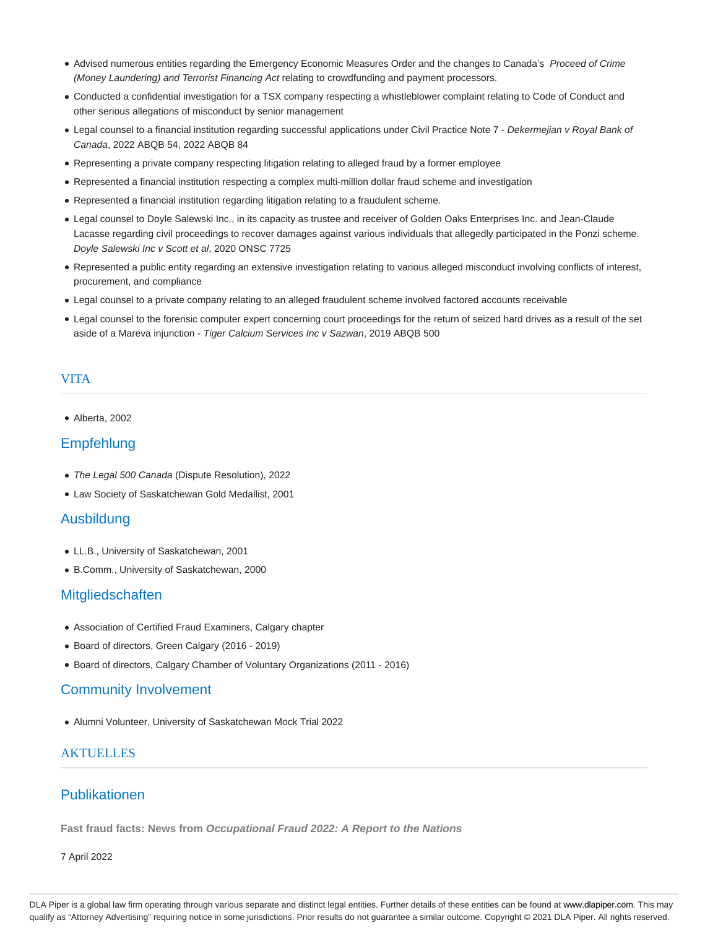- Advised numerous entities regarding the Emergency Economic Measures Order and the changes to Canada's Proceed of Crime (Money Laundering) and Terrorist Financing Act relating to crowdfunding and payment processors.
- Conducted a confidential investigation for a TSX company respecting a whistleblower complaint relating to Code of Conduct and other serious allegations of misconduct by senior management
- Legal counsel to a financial institution regarding successful applications under Civil Practice Note 7 Dekermejian v Royal Bank of Canada, 2022 ABQB 54, 2022 ABQB 84
- Representing a private company respecting litigation relating to alleged fraud by a former employee
- Represented a financial institution respecting a complex multi-million dollar fraud scheme and investigation
- Represented a financial institution regarding litigation relating to a fraudulent scheme.
- Legal counsel to Doyle Salewski Inc., in its capacity as trustee and receiver of Golden Oaks Enterprises Inc. and Jean-Claude Lacasse regarding civil proceedings to recover damages against various individuals that allegedly participated in the Ponzi scheme. Doyle Salewski Inc v Scott et al, 2020 ONSC 7725
- Represented a public entity regarding an extensive investigation relating to various alleged misconduct involving conflicts of interest, procurement, and compliance
- Legal counsel to a private company relating to an alleged fraudulent scheme involved factored accounts receivable
- Legal counsel to the forensic computer expert concerning court proceedings for the return of seized hard drives as a result of the set aside of a Mareva injunction - Tiger Calcium Services Inc v Sazwan, 2019 ABQB 500

#### VITA

Alberta, 2002

## **Empfehlung**

- The Legal 500 Canada (Dispute Resolution), 2022
- Law Society of Saskatchewan Gold Medallist, 2001

#### Ausbildung

- LL.B., University of Saskatchewan, 2001
- B.Comm., University of Saskatchewan, 2000

### **Mitgliedschaften**

- Association of Certified Fraud Examiners, Calgary chapter
- Board of directors, Green Calgary (2016 2019)
- Board of directors, Calgary Chamber of Voluntary Organizations (2011 2016)

### Community Involvement

Alumni Volunteer, University of Saskatchewan Mock Trial 2022

## **AKTUELLES**

## Publikationen

**Fast fraud facts: News from Occupational Fraud 2022: A Report to the Nations**

7 April 2022

DLA Piper is a global law firm operating through various separate and distinct legal entities. Further details of these entities can be found at www.dlapiper.com. This may qualify as "Attorney Advertising" requiring notice in some jurisdictions. Prior results do not guarantee a similar outcome. Copyright © 2021 DLA Piper. All rights reserved.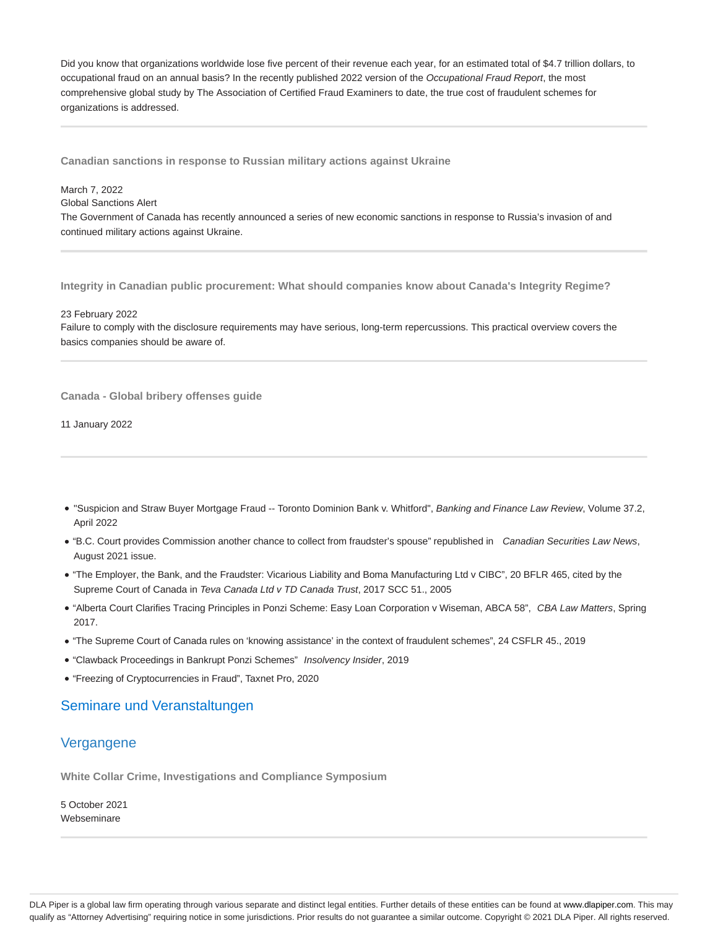Did you know that organizations worldwide lose five percent of their revenue each year, for an estimated total of \$4.7 trillion dollars, to occupational fraud on an annual basis? In the recently published 2022 version of the Occupational Fraud Report, the most comprehensive global study by The Association of Certified Fraud Examiners to date, the true cost of fraudulent schemes for organizations is addressed.

**Canadian sanctions in response to Russian military actions against Ukraine**

### March 7, 2022

#### Global Sanctions Alert

The Government of Canada has recently announced a series of new economic sanctions in response to Russia's invasion of and continued military actions against Ukraine.

**Integrity in Canadian public procurement: What should companies know about Canada's Integrity Regime?**

#### 23 February 2022

Failure to comply with the disclosure requirements may have serious, long-term repercussions. This practical overview covers the basics companies should be aware of.

**Canada - Global bribery offenses guide**

11 January 2022

- . "Suspicion and Straw Buyer Mortgage Fraud -- Toronto Dominion Bank v. Whitford", Banking and Finance Law Review, Volume 37.2, April 2022
- . "B.C. Court provides Commission another chance to collect from fraudster's spouse" republished in Canadian Securities Law News, August 2021 issue.
- "The Employer, the Bank, and the Fraudster: Vicarious Liability and Boma Manufacturing Ltd v CIBC", 20 BFLR 465, cited by the Supreme Court of Canada in Teva Canada Ltd v TD Canada Trust, 2017 SCC 51., 2005
- . "Alberta Court Clarifies Tracing Principles in Ponzi Scheme: Easy Loan Corporation v Wiseman, ABCA 58", CBA Law Matters, Spring 2017.
- "The Supreme Court of Canada rules on 'knowing assistance' in the context of fraudulent schemes", 24 CSFLR 45., 2019
- "Clawback Proceedings in Bankrupt Ponzi Schemes" Insolvency Insider, 2019
- "Freezing of Cryptocurrencies in Fraud", Taxnet Pro, 2020

## Seminare und Veranstaltungen

## Vergangene

**White Collar Crime, Investigations and Compliance Symposium**

5 October 2021 Webseminare